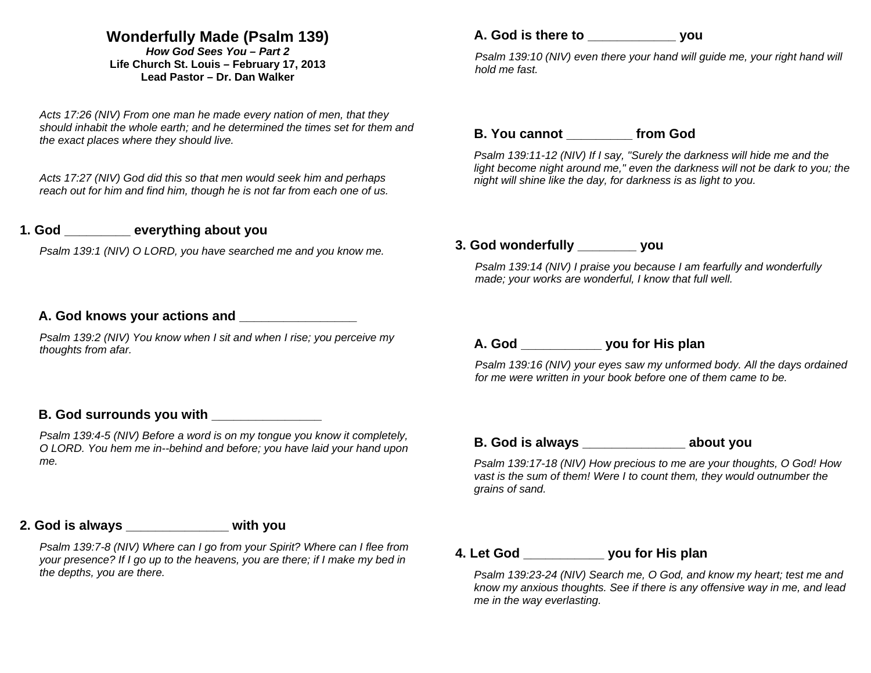# **Wonderfully Made (Psalm 139)**

*How God Sees You – Part 2* **Life Church St. Louis** *–* **February 17, 2013 Lead Pastor – Dr. Dan Walker** 

*Acts 17:26 (NIV) From one man he made every nation of men, that they should inhabit the whole earth; and he determined the times set for them and the exact places where they should live.* 

*Acts 17:27 (NIV) God did this so that men would seek him and perhaps reach out for him and find him, though he is not far from each one of us.* 

#### **1. God \_\_\_\_\_\_\_\_\_ everything about you**

*Psalm 139:1 (NIV) O LORD, you have searched me and you know me.* 

#### **A. God knows your actions and \_\_\_\_\_\_\_\_\_\_\_\_\_\_\_\_**

*Psalm 139:2 (NIV) You know when I sit and when I rise; you perceive my thoughts from afar.* 

#### **B. God surrounds you with**

*Psalm 139:4-5 (NIV) Before a word is on my tongue you know it completely, O LORD. You hem me in--behind and before; you have laid your hand upon me.* 

### **2. God is always \_\_\_\_\_\_\_\_\_\_\_\_\_\_ with you**

*Psalm 139:7-8 (NIV) Where can I go from your Spirit? Where can I flee from your presence? If I go up to the heavens, you are there; if I make my bed in the depths, you are there.* 

## **A. God is there to \_\_\_\_\_\_\_\_\_\_\_\_ you**

*Psalm 139:10 (NIV) even there your hand will guide me, your right hand will hold me fast.* 

#### **B. You cannot \_\_\_\_\_\_\_\_\_ from God**

*Psalm 139:11-12 (NIV) If I say, "Surely the darkness will hide me and the*  light become night around me," even the darkness will not be dark to you; the *night will shine like the day, for darkness is as light to you.* 

#### **3. God wonderfully \_\_\_\_\_\_\_\_ you**

*Psalm 139:14 (NIV) I praise you because I am fearfully and wonderfully made; your works are wonderful, I know that full well.* 

### **A. God \_\_\_\_\_\_\_\_\_\_\_ you for His plan**

*Psalm 139:16 (NIV) your eyes saw my unformed body. All the days ordained for me were written in your book before one of them came to be.* 

### **B. God is always \_\_\_\_\_\_\_\_\_\_\_\_\_\_ about you**

*Psalm 139:17-18 (NIV) How precious to me are your thoughts, O God! How vast is the sum of them! Were I to count them, they would outnumber the grains of sand.* 

#### **4. Let God \_\_\_\_\_\_\_\_\_\_\_ you for His plan**

*Psalm 139:23-24 (NIV) Search me, O God, and know my heart; test me and know my anxious thoughts. See if there is any offensive way in me, and lead me in the way everlasting.*